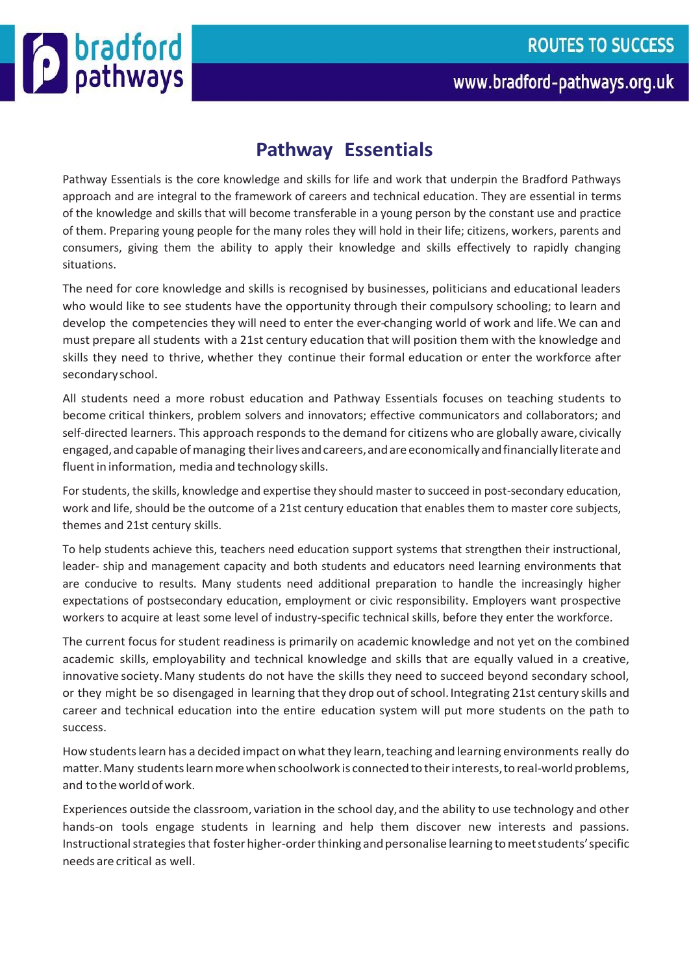

# **Pathway Essentials**

Pathway Essentials is the core knowledge and skills for life and work that underpin the Bradford Pathways approach and are integral to the framework of careers and technical education. They are essential in terms of the knowledge and skills that will become transferable in a young person by the constant use and practice of them. Preparing young people for the many roles they will hold in their life; citizens, workers, parents and consumers, giving them the ability to apply their knowledge and skills effectively to rapidly changing situations.

The need for core knowledge and skills is recognised by businesses, politicians and educational leaders who would like to see students have the opportunity through their compulsory schooling; to learn and develop the competencies they will need to enter the ever-changing world of work and life.We can and must prepare all students with a 21st century education that will position them with the knowledge and skills they need to thrive, whether they continue their formal education or enter the workforce after secondaryschool.

All students need a more robust education and Pathway Essentials focuses on teaching students to become critical thinkers, problem solvers and innovators; effective communicators and collaborators; and self-directed learners. This approach responds to the demand for citizens who are globally aware, civically engaged, and capable of managing their lives and careers, and are economically and financially literate and fluentin information, media and technology skills.

For students, the skills, knowledge and expertise they should master to succeed in post-secondary education, work and life, should be the outcome of a 21st century education that enables them to master core subjects, themes and 21st century skills.

To help students achieve this, teachers need education support systems that strengthen their instructional, leader- ship and management capacity and both students and educators need learning environments that are conducive to results. Many students need additional preparation to handle the increasingly higher expectations of postsecondary education, employment or civic responsibility. Employers want prospective workers to acquire at least some level of industry-specific technical skills, before they enter the workforce.

The current focus for student readiness is primarily on academic knowledge and not yet on the combined academic skills, employability and technical knowledge and skills that are equally valued in a creative, innovative society.Many students do not have the skills they need to succeed beyond secondary school, or they might be so disengaged in learning that they drop out of school. Integrating 21st century skills and career and technical education into the entire education system will put more students on the path to success.

How students learn has a decided impact on what they learn, teaching and learning environments really do matter. Many students learn more when schoolwork is connected to their interests, to real-world problems, and totheworldofwork.

Experiences outside the classroom, variation in the school day,and the ability to use technology and other hands-on tools engage students in learning and help them discover new interests and passions. Instructional strategies that foster higher-order thinking and personalise learning to meet students' specific needs are critical as well.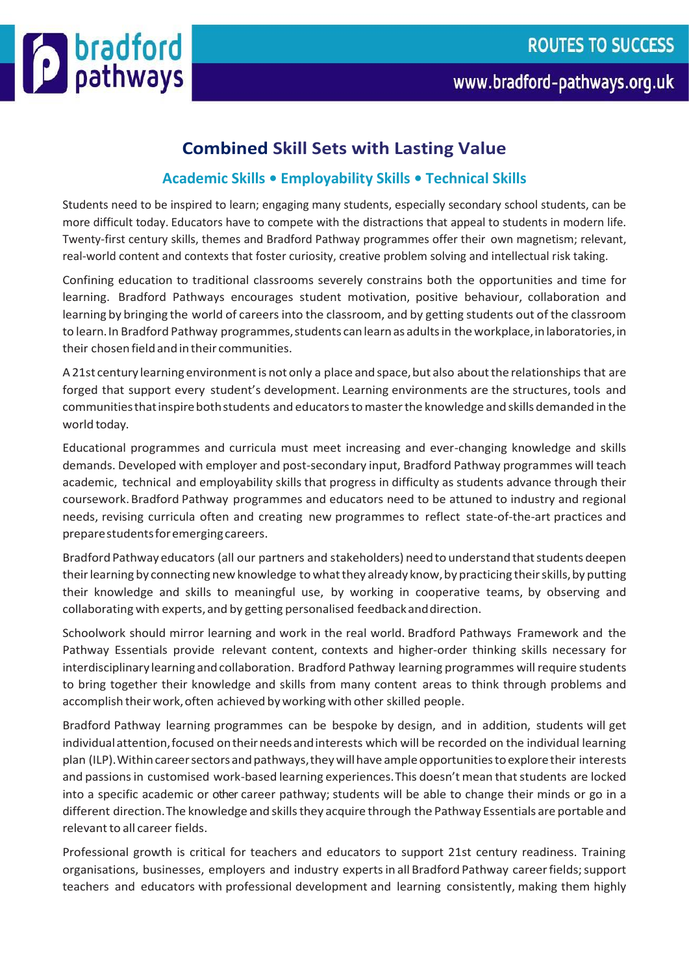

# **Combined Skill Sets with Lasting Value**

### **Academic Skills • Employability Skills • Technical Skills**

Students need to be inspired to learn; engaging many students, especially secondary school students, can be more difficult today. Educators have to compete with the distractions that appeal to students in modern life. Twenty-first century skills, themes and Bradford Pathway programmes offer their own magnetism; relevant, real-world content and contexts that foster curiosity, creative problem solving and intellectual risk taking.

Confining education to traditional classrooms severely constrains both the opportunities and time for learning. Bradford Pathways encourages student motivation, positive behaviour, collaboration and learning by bringing the world of careers into the classroom, and by getting students out of the classroom to learn. In Bradford Pathway programmes, students can learn as adults in the workplace, in laboratories, in their chosenfieldandintheir communities.

A 21st century learning environment is not only a place and space, but also about the relationships that are forged that support every student's development. Learning environments are the structures, tools and communitiesthatinspirebothstudents and educatorstomasterthe knowledge and skills demanded in the world today.

Educational programmes and curricula must meet increasing and ever-changing knowledge and skills demands. Developed with employer and post-secondary input, Bradford Pathway programmes will teach academic, technical and employability skills that progress in difficulty as students advance through their coursework.Bradford Pathway programmes and educators need to be attuned to industry and regional needs, revising curricula often and creating new programmes to reflect state-of-the-art practices and prepare students for emerging careers.

Bradford Pathway educators (all our partners and stakeholders) need to understand that students deepen their learning by connecting new knowledge to what they already know, by practicing their skills, by putting their knowledge and skills to meaningful use, by working in cooperative teams, by observing and collaborating with experts,and by getting personalised feedbackanddirection.

Schoolwork should mirror learning and work in the real world. Bradford Pathways Framework and the Pathway Essentials provide relevant content, contexts and higher-order thinking skills necessary for interdisciplinary learning and collaboration. Bradford Pathway learning programmes will require students to bring together their knowledge and skills from many content areas to think through problems and accomplish their work, often achieved by working with other skilled people.

Bradford Pathway learning programmes can be bespoke by design, and in addition, students will get individualattention,focused ontheirneedsandinterests which will be recorded on the individual learning plan (ILP).Withincareersectors andpathways,theywillhave ampleopportunitiestoexploretheir interests and passions in customised work-based learning experiences. This doesn't mean that students are locked into a specific academic or other career pathway; students will be able to change their minds or go in a different direction. The knowledge and skills they acquire through the Pathway Essentials are portable and relevant to all career fields.

Professional growth is critical for teachers and educators to support 21st century readiness. Training organisations, businesses, employers and industry expertsin all Bradford Pathway careerfields;support teachers and educators with professional development and learning consistently, making them highly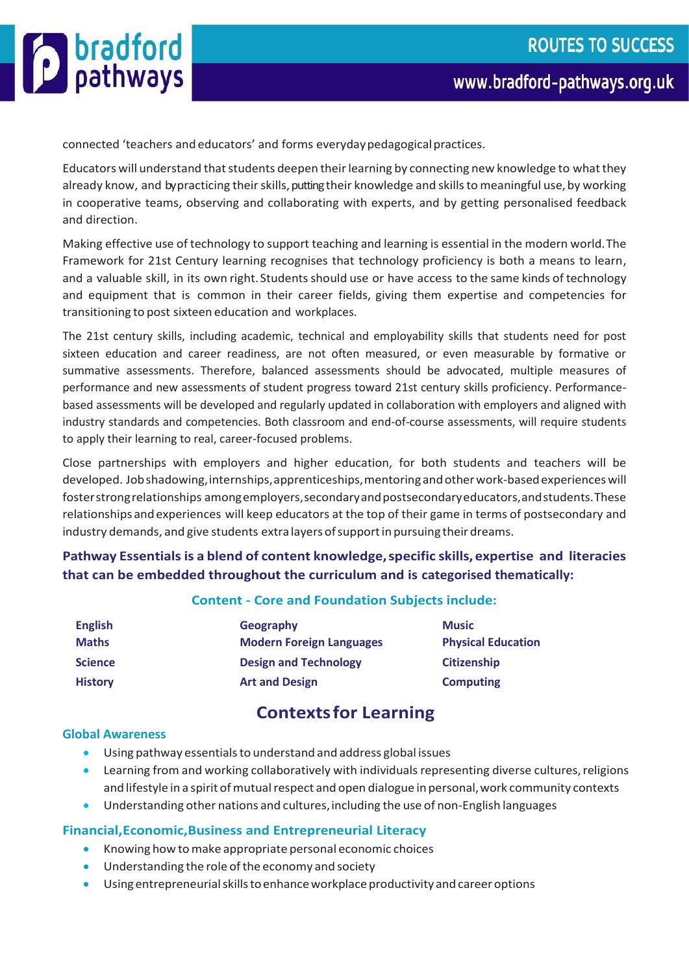

connected 'teachers and educators' and forms everyday pedagogical practices.

Educators will understand that students deepen their learning by connecting new knowledge to what they already know, and bypracticing their skills, putting their knowledge and skills to meaningful use, by working in cooperative teams, observing and collaborating with experts, and by getting personalised feedback and direction.

Making effective use of technology to support teaching and learning is essential in the modern world.The Framework for 21st Century learning recognises that technology proficiency is both a means to learn, and a valuable skill, in its own right. Students should use or have access to the same kinds of technology and equipment that is common in their career fields, giving them expertise and competencies for transitioning to post sixteen education and workplaces.

The 21st century skills, including academic, technical and employability skills that students need for post sixteen education and career readiness, are not often measured, or even measurable by formative or summative assessments. Therefore, balanced assessments should be advocated, multiple measures of performance and new assessments of student progress toward 21st century skills proficiency. Performancebased assessments will be developed and regularly updated in collaboration with employers and aligned with industry standards and competencies. Both classroom and end-of-course assessments, will require students to apply their learning to real, career-focused problems.

Close partnerships with employers and higher education, for both students and teachers will be developed. Job shadowing, internships, apprenticeships, mentoring and other work-based experiences will fosterstrongrelationships amongemployers,secondaryandpostsecondaryeducators,andstudents.These relationships andexperiences will keep educators at the top of their game in terms of postsecondary and industry demands, and give students extra layers ofsupportin pursuing their dreams.

### **Pathway Essentialsis a blend of content knowledge,specific skills,expertise and literacies that can be embedded throughout the curriculum and is categorised thematically:**

# **Content - Core and Foundation Subjects include:**

| <b>English</b> | Geography                       | <b>Music</b>              |
|----------------|---------------------------------|---------------------------|
| <b>Maths</b>   | <b>Modern Foreign Languages</b> | <b>Physical Education</b> |
| <b>Science</b> | <b>Design and Technology</b>    | <b>Citizenship</b>        |
| <b>History</b> | <b>Art and Design</b>           | <b>Computing</b>          |

### **Contextsfor Learning**

#### **Global Awareness**

- Using pathway essentials to understand and address global issues
- Learning from and working collaboratively with individuals representing diverse cultures, religions and lifestyle in a spirit of mutual respect and open dialogue in personal, work community contexts
- Understanding other nations and cultures,including the use of non-English languages

#### **Financial,Economic,Business and Entrepreneurial Literacy**

- Knowing how tomake appropriate personal economic choices
- Understanding the role of the economy and society
- Using entrepreneurialskillstoenhanceworkplace productivity andcareeroptions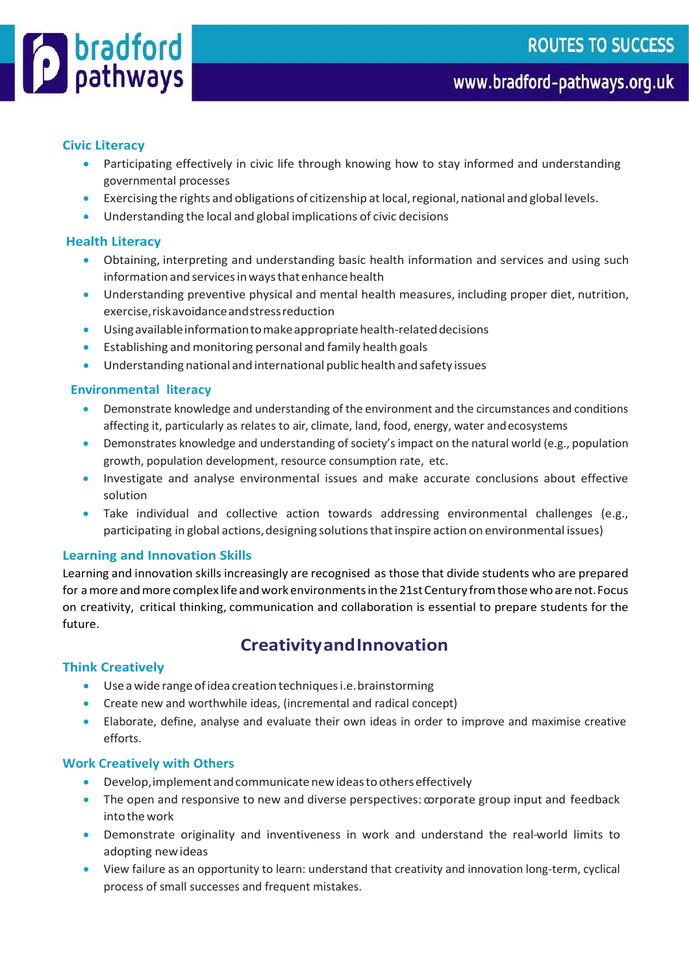

### **Civic Literacy**

- Participating effectively in civic life through knowing how to stay informed and understanding governmental processes
- Exercising the rights and obligations of citizenship at local, regional, national and global levels.
- Understanding the local and global implications of civic decisions

### **Health Literacy**

- Obtaining, interpreting and understanding basic health information and services and using such information and services in ways that enhance health
- Understanding preventive physical and mental health measures, including proper diet, nutrition, exercise,riskavoidanceandstressreduction
- Usingavailableinformationtomakeappropriatehealth-relateddecisions
- Establishing and monitoring personal and family health goals
- Understanding national and international public health and safety issues

### **Environmental literacy**

- Demonstrate knowledge and understanding of the environment and the circumstances and conditions affecting it, particularly as relates to air, climate, land, food, energy, water andecosystems
- Demonstrates knowledge and understanding of society's impact on the natural world (e.g., population growth, population development, resource consumption rate, etc.
- Investigate and analyse environmental issues and make accurate conclusions about effective solution
- Take individual and collective action towards addressing environmental challenges (e.g., participating in global actions, designing solutions that inspire action on environmental issues)

#### **Learning and Innovation Skills**

Learning and innovation skills increasingly are recognised as those that divide students who are prepared for a more and more complex life and work environments in the 21st Century from those who are not. Focus on creativity, critical thinking, communication and collaboration is essential to prepare students for the future.

### **CreativityandInnovation**

#### **Think Creatively**

- Use a wide range of idea creation techniques i.e. brainstorming
- Create new and worthwhile ideas, (incremental and radical concept)
- Elaborate, define, analyse and evaluate their own ideas in order to improve and maximise creative efforts.

#### **Work Creatively with Others**

- Develop,implementandcommunicatenewideastootherseffectively
- The open and responsive to new and diverse perspectives: corporate group input and feedback into the work
- Demonstrate originality and inventiveness in work and understand the real-world limits to adopting newideas
- View failure as an opportunity to learn: understand that creativity and innovation long-term, cyclical process of small successes and frequent mistakes.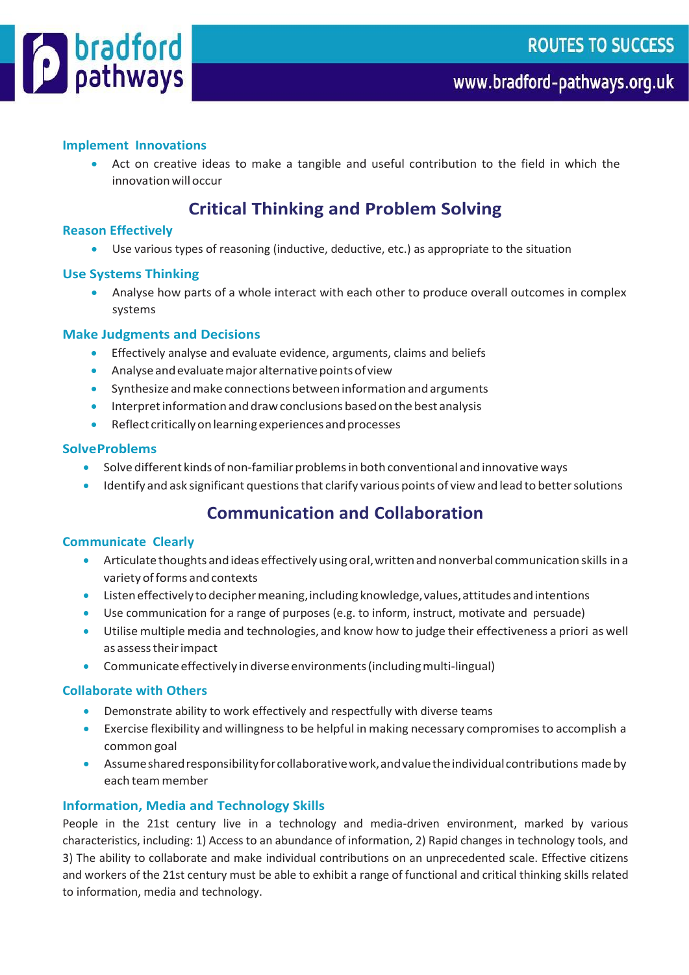

#### **Implement Innovations**

• Act on creative ideas to make a tangible and useful contribution to the field in which the innovationwilloccur

# **Critical Thinking and Problem Solving**

#### **Reason Effectively**

• Use various types of reasoning (inductive, deductive, etc.) as appropriate to the situation

#### **Use Systems Thinking**

• Analyse how parts of a whole interact with each other to produce overall outcomes in complex systems

#### **Make Judgments and Decisions**

- Effectively analyse and evaluate evidence, arguments, claims and beliefs
- Analyse and evaluate major alternative points of view
- Synthesize andmake connections betweeninformationandarguments
- Interpretinformationand drawconclusions basedon the best analysis
- Reflect critically on learning experiences and processes

#### **SolveProblems**

- Solve different kinds of non-familiar problemsin both conventional and innovativeways
- Identify and ask significant questions that clarify various points of view and lead to better solutions

### **Communication and Collaboration**

#### **Communicate Clearly**

- Articulate thoughts and ideas effectively using oral, written and nonverbal communication skills in a varietyofforms andcontexts
- Listen effectively to decipher meaning, including knowledge, values, attitudes and intentions
- Use communication for a range of purposes (e.g. to inform, instruct, motivate and persuade)
- Utilise multiple media and technologies,and know how to judge their effectiveness a priori as well as assesstheirimpact
- Communicate effectively in diverse environments (including multi-lingual)

#### **Collaborate with Others**

- Demonstrate ability to work effectively and respectfully with diverse teams
- Exercise flexibility and willingness to be helpful in making necessary compromises to accomplish a common goal
- Assumesharedresponsibilityforcollaborativework,andvaluetheindividualcontributions made by each teammember

#### **Information, Media and Technology Skills**

People in the 21st century live in a technology and media-driven environment, marked by various characteristics, including: 1) Access to an abundance of information, 2) Rapid changes in technology tools, and 3) The ability to collaborate and make individual contributions on an unprecedented scale. Effective citizens and workers of the 21st century must be able to exhibit a range of functional and critical thinking skills related to information, media and technology.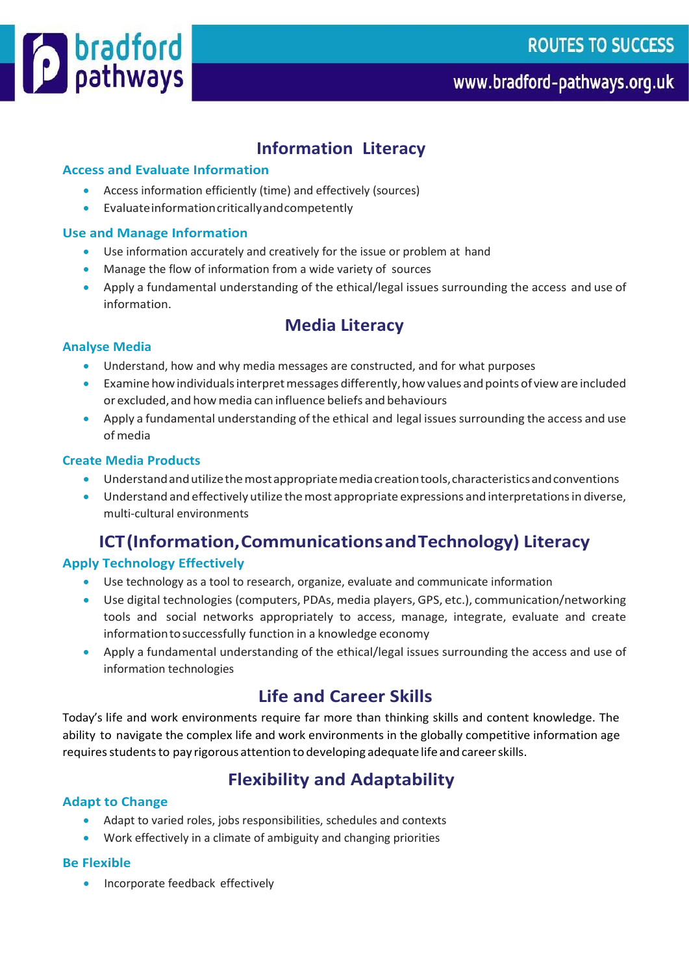

### **Information Literacy**

### **Access and Evaluate Information**

- Access information efficiently (time) and effectively (sources)
- Evaluateinformationcriticallyandcompetently

### **Use and Manage Information**

- Use information accurately and creatively for the issue or problem at hand
- Manage the flow of information from a wide variety of sources
- Apply a fundamental understanding of the ethical/legal issues surrounding the access and use of information.

### **Media Literacy**

### **Analyse Media**

- Understand, how and why media messages are constructed, and for what purposes
- Examine how individuals interpret messages differently, how values and points of view are included or excluded,and howmedia can influence beliefs and behaviours
- Apply a fundamental understanding of the ethical and legal issues surrounding the access and use ofmedia

### **Create Media Products**

- Understandandutilizethemostappropriatemediacreationtools,characteristicsandconventions
- Understand and effectively utilize the most appropriate expressions and interpretations in diverse, multi-cultural environments

# **ICT(Information,CommunicationsandTechnology) Literacy**

### **Apply Technology Effectively**

- Use technology as a tool to research, organize, evaluate and communicate information
- Use digital technologies (computers, PDAs, media players, GPS, etc.), communication/networking tools and social networks appropriately to access, manage, integrate, evaluate and create informationtosuccessfully function in a knowledge economy
- Apply a fundamental understanding of the ethical/legal issues surrounding the access and use of information technologies

### **Life and Career Skills**

Today's life and work environments require far more than thinking skills and content knowledge. The ability to navigate the complex life and work environments in the globally competitive information age requiresstudentsto pay rigorous attention todeveloping adequate life and careerskills.

# **Flexibility and Adaptability**

### **Adapt to Change**

- Adapt to varied roles, jobs responsibilities, schedules and contexts
- Work effectively in a climate of ambiguity and changing priorities

### **Be Flexible**

• Incorporate feedback effectively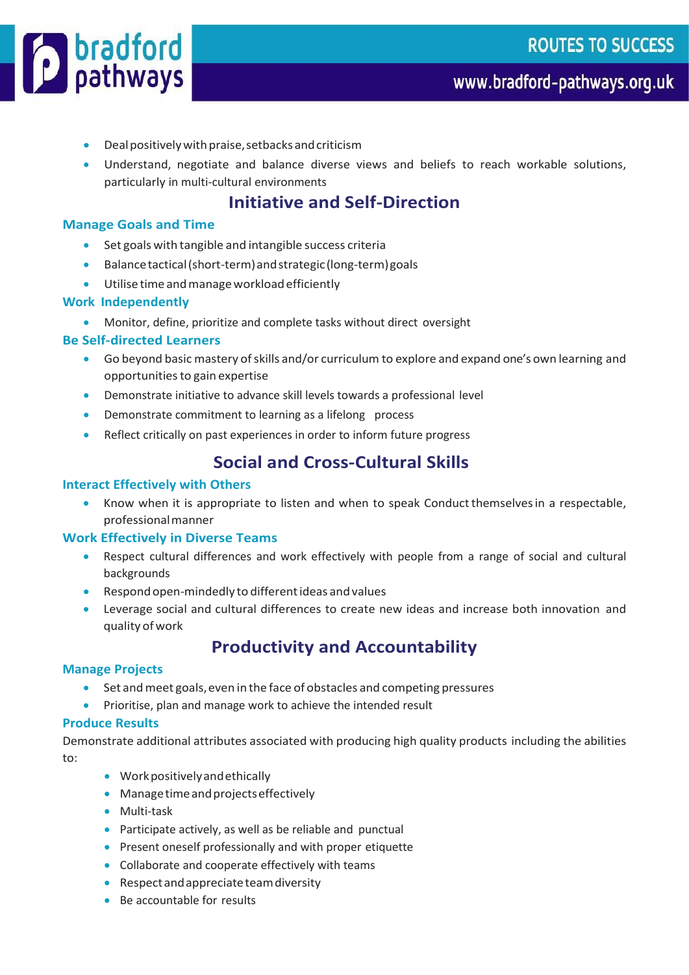

- Deal positively with praise, setbacks and criticism
- Understand, negotiate and balance diverse views and beliefs to reach workable solutions, particularly in multi-cultural environments

### **Initiative and Self-Direction**

#### **Manage Goals and Time**

- Set goals with tangible and intangible success criteria
- Balancetactical(short-term)andstrategic(long-term)goals
- Utilise time and manage workload efficiently

#### **Work Independently**

• Monitor, define, prioritize and complete tasks without direct oversight

#### **Be Self-directed Learners**

- Go beyond basic mastery of skills and/or curriculum to explore and expand one's own learning and opportunitiesto gain expertise
- Demonstrate initiative to advance skill levels towards a professional level
- Demonstrate commitment to learning as a lifelong process
- Reflect critically on past experiences in order to inform future progress

### **Social and Cross-Cultural Skills**

#### **Interact Effectively with Others**

• Know when it is appropriate to listen and when to speak Conduct themselves in a respectable, professionalmanner

#### **Work Effectively in Diverse Teams**

- Respect cultural differences and work effectively with people from a range of social and cultural backgrounds
- Respond open-mindedly to differentideas andvalues
- Leverage social and cultural differences to create new ideas and increase both innovation and quality of work

### **Productivity and Accountability**

#### **Manage Projects**

- Set and meet goals, even in the face of obstacles and competing pressures
- Prioritise, plan and manage work to achieve the intended result

#### **Produce Results**

Demonstrate additional attributes associated with producing high quality products including the abilities to:

- Workpositivelyandethically
- Managetimeandprojectseffectively
- Multi-task
- Participate actively, as well as be reliable and punctual
- Present oneself professionally and with proper etiquette
- Collaborate and cooperate effectively with teams
- Respect and appreciate team diversity
- Be accountable for results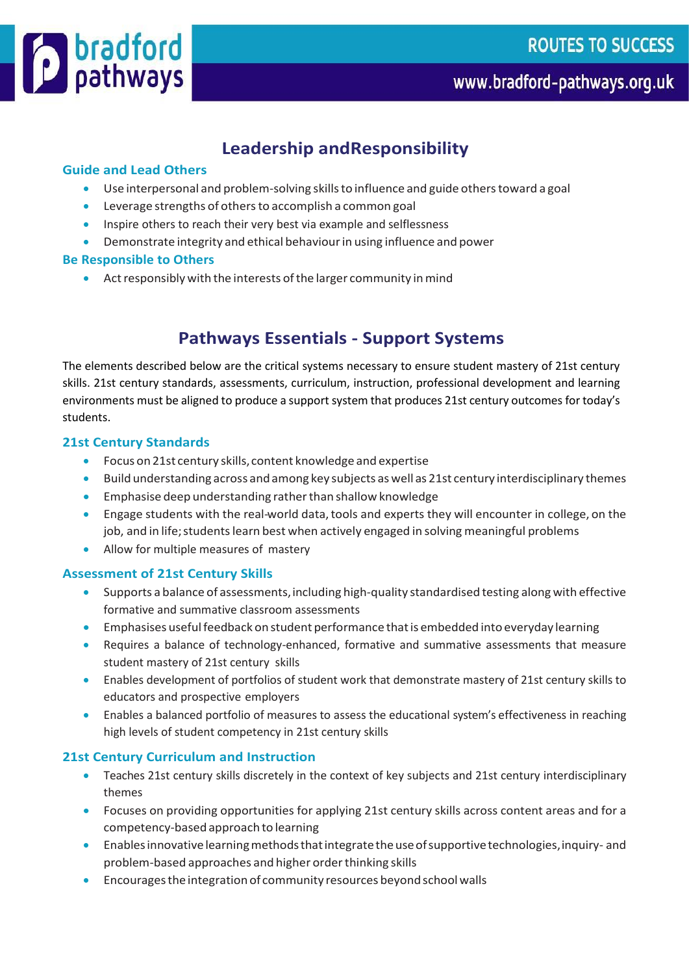

# **Leadership andResponsibility**

### **Guide and Lead Others**

- Use interpersonal and problem-solving skillsto influence and guide otherstoward a goal
- Leverage strengths of othersto accomplish a common goal
- Inspire others to reach their very best via example and selflessness
- Demonstrate integrity and ethical behaviourin using influence and power

### **Be Responsible to Others**

• Act responsibly with the interests of the larger community in mind

# **Pathways Essentials - Support Systems**

The elements described below are the critical systems necessary to ensure student mastery of 21st century skills. 21st century standards, assessments, curriculum, instruction, professional development and learning environments must be aligned to produce a support system that produces 21st century outcomes for today's students.

### **21st Century Standards**

- Focus on 21st century skills,content knowledge and expertise
- Build understanding across andamong key subjects aswell as 21st century interdisciplinary themes
- Emphasise deep understanding rather than shallow knowledge
- Engage students with the real-world data, tools and experts they will encounter in college, on the job, and in life; students learn best when actively engaged in solving meaningful problems
- Allow for multiple measures of mastery

### **Assessment of 21st Century Skills**

- Supports a balance of assessments,including high-quality standardised testing along with effective formative and summative classroom assessments
- Emphasises useful feedback on student performance that is embedded into everyday learning
- Requires a balance of technology-enhanced, formative and summative assessments that measure student mastery of 21st century skills
- Enables development of portfolios of student work that demonstrate mastery of 21st century skills to educators and prospective employers
- Enables a balanced portfolio of measures to assess the educational system's effectiveness in reaching high levels of student competency in 21st century skills

### **21st Century Curriculum and Instruction**

- Teaches 21st century skills discretely in the context of key subjects and 21st century interdisciplinary themes
- Focuses on providing opportunities for applying 21st century skills across content areas and for a competency-based approach to learning
- Enables innovative learning methods that integrate the use of supportive technologies, inquiry- and problem-based approaches and higher orderthinking skills
- Encourages the integration of community resources beyond school walls